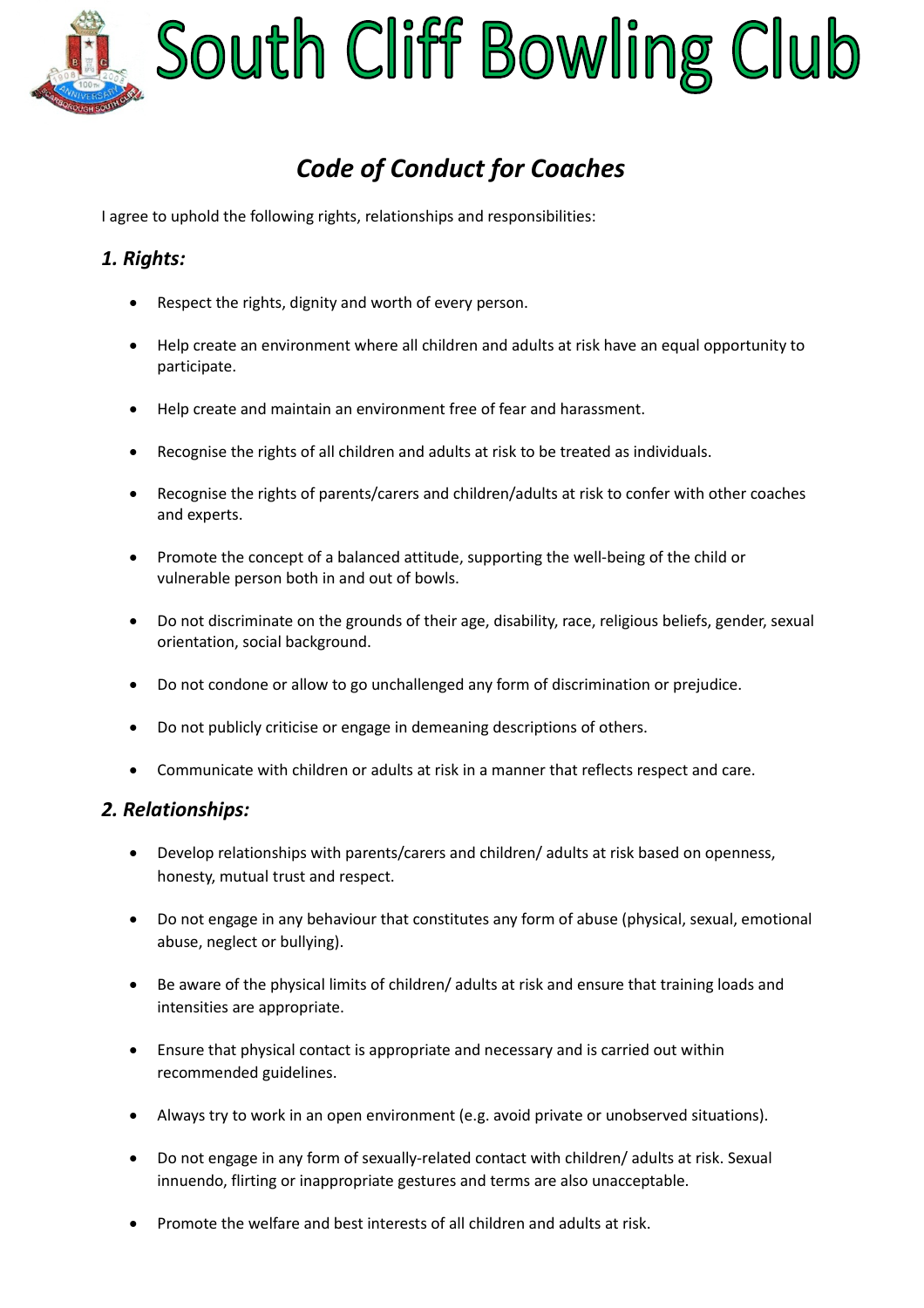

# South Cliff Bowling Club

## *Code of Conduct for Coaches*

I agree to uphold the following rights, relationships and responsibilities:

### *1. Rights:*

- Respect the rights, dignity and worth of every person.
- Help create an environment where all children and adults at risk have an equal opportunity to participate.
- Help create and maintain an environment free of fear and harassment.
- Recognise the rights of all children and adults at risk to be treated as individuals.
- Recognise the rights of parents/carers and children/adults at risk to confer with other coaches and experts.
- Promote the concept of a balanced attitude, supporting the well-being of the child or vulnerable person both in and out of bowls.
- Do not discriminate on the grounds of their age, disability, race, religious beliefs, gender, sexual orientation, social background.
- Do not condone or allow to go unchallenged any form of discrimination or prejudice.
- Do not publicly criticise or engage in demeaning descriptions of others.
- Communicate with children or adults at risk in a manner that reflects respect and care.

#### *2. Relationships:*

- Develop relationships with parents/carers and children/ adults at risk based on openness, honesty, mutual trust and respect.
- Do not engage in any behaviour that constitutes any form of abuse (physical, sexual, emotional abuse, neglect or bullying).
- Be aware of the physical limits of children/ adults at risk and ensure that training loads and intensities are appropriate.
- Ensure that physical contact is appropriate and necessary and is carried out within recommended guidelines.
- Always try to work in an open environment (e.g. avoid private or unobserved situations).
- Do not engage in any form of sexually-related contact with children/ adults at risk. Sexual innuendo, flirting or inappropriate gestures and terms are also unacceptable.
- Promote the welfare and best interests of all children and adults at risk.